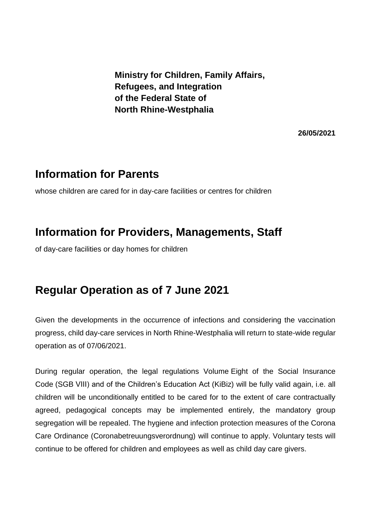**Ministry for Children, Family Affairs, Refugees, and Integration of the Federal State of North Rhine-Westphalia**

**26/05/2021**

## **Information for Parents**

whose children are cared for in day-care facilities or centres for children

## **Information for Providers, Managements, Staff**

of day-care facilities or day homes for children

## **Regular Operation as of 7 June 2021**

Given the developments in the occurrence of infections and considering the vaccination progress, child day-care services in North Rhine-Westphalia will return to state-wide regular operation as of 07/06/2021.

During regular operation, the legal regulations Volume Eight of the Social Insurance Code (SGB VIII) and of the Children's Education Act (KiBiz) will be fully valid again, i.e. all children will be unconditionally entitled to be cared for to the extent of care contractually agreed, pedagogical concepts may be implemented entirely, the mandatory group segregation will be repealed. The hygiene and infection protection measures of the Corona Care Ordinance (Coronabetreuungsverordnung) will continue to apply. Voluntary tests will continue to be offered for children and employees as well as child day care givers.